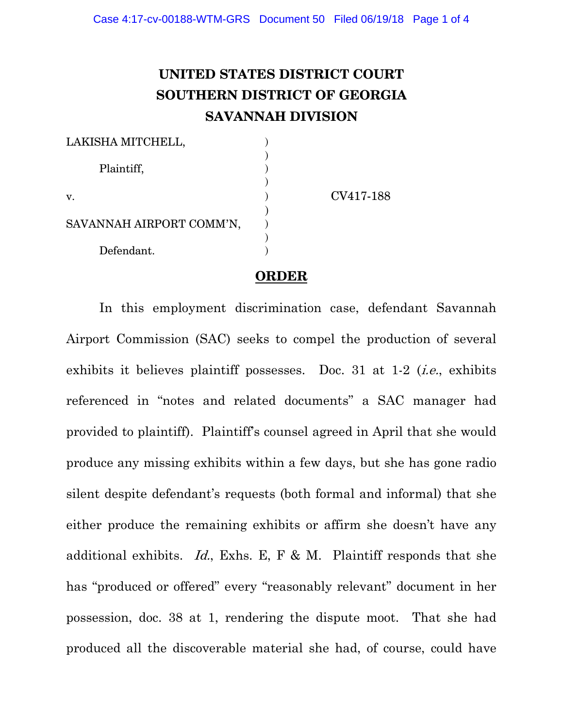## **UNITED STATES DISTRICT COURT SOUTHERN DISTRICT OF GEORGIA SAVANNAH DIVISION**

| LAKISHA MITCHELL,        |           |
|--------------------------|-----------|
| Plaintiff,               |           |
|                          |           |
| v.                       | CV417-188 |
|                          |           |
| SAVANNAH AIRPORT COMM'N, |           |
| Defendant.               |           |
|                          |           |

## **ORDER**

In this employment discrimination case, defendant Savannah Airport Commission (SAC) seeks to compel the production of several exhibits it believes plaintiff possesses. Doc. 31 at 1-2 (*i.e.*, exhibits referenced in "notes and related documents" a SAC manager had provided to plaintiff). Plaintiff's counsel agreed in April that she would produce any missing exhibits within a few days, but she has gone radio silent despite defendant's requests (both formal and informal) that she either produce the remaining exhibits or affirm she doesn't have any additional exhibits. Id., Exhs. E, F & M. Plaintiff responds that she has "produced or offered" every "reasonably relevant" document in her possession, doc. 38 at 1, rendering the dispute moot. That she had produced all the discoverable material she had, of course, could have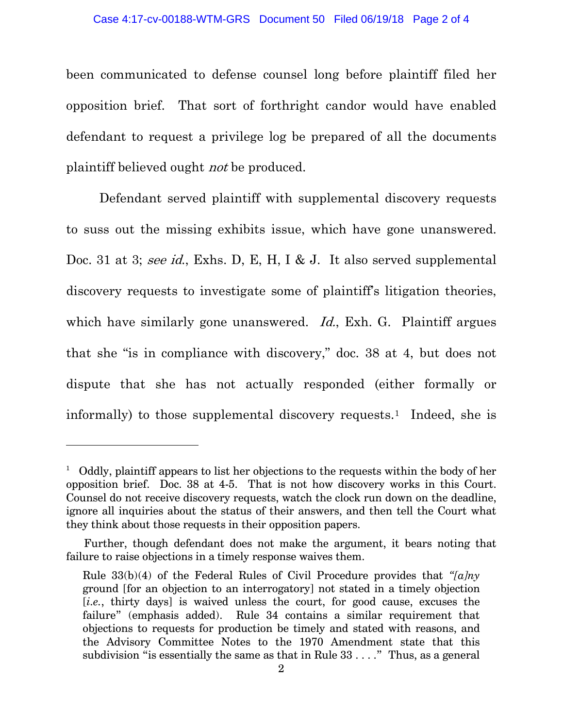been communicated to defense counsel long before plaintiff filed her opposition brief. That sort of forthright candor would have enabled defendant to request a privilege log be prepared of all the documents plaintiff believed ought not be produced.

Defendant served plaintiff with supplemental discovery requests to suss out the missing exhibits issue, which have gone unanswered. Doc. 31 at 3; see id., Exhs. D, E, H, I & J. It also served supplemental discovery requests to investigate some of plaintiff's litigation theories, which have similarly gone unanswered. *Id.*, Exh. G. Plaintiff argues that she "is in compliance with discovery," doc. 38 at 4, but does not dispute that she has not actually responded (either formally or informally) to those supplemental discovery requests.<sup>1</sup> Indeed, she is

 $\overline{a}$ 

<span id="page-1-0"></span> $1$  Oddly, plaintiff appears to list her objections to the requests within the body of her opposition brief. Doc. 38 at 4-5. That is not how discovery works in this Court. Counsel do not receive discovery requests, watch the clock run down on the deadline, ignore all inquiries about the status of their answers, and then tell the Court what they think about those requests in their opposition papers.

Further, though defendant does not make the argument, it bears noting that failure to raise objections in a timely response waives them.

Rule 33(b)(4) of the Federal Rules of Civil Procedure provides that *"[a]ny* ground [for an objection to an interrogatory] not stated in a timely objection [*i.e.*, thirty days] is waived unless the court, for good cause, excuses the failure" (emphasis added). Rule 34 contains a similar requirement that objections to requests for production be timely and stated with reasons, and the Advisory Committee Notes to the 1970 Amendment state that this subdivision "is essentially the same as that in Rule 33 . . . ." Thus, as a general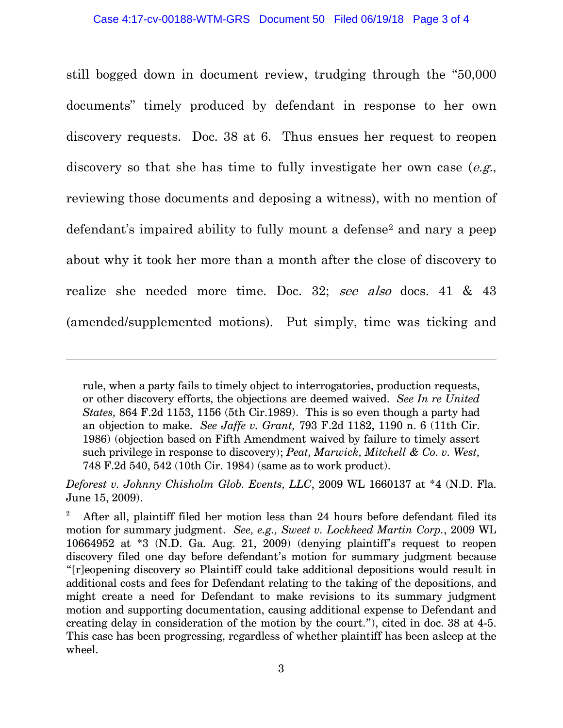still bogged down in document review, trudging through the "50,000 documents" timely produced by defendant in response to her own discovery requests. Doc. 38 at 6. Thus ensues her request to reopen discovery so that she has time to fully investigate her own case  $(e.g.,)$ reviewing those documents and deposing a witness), with no mention of defendant's impaired ability to fully mount a defense<sup>[2](#page-2-0)</sup> and nary a peep about why it took her more than a month after the close of discovery to realize she needed more time. Doc. 32; see also docs. 41 & 43 (amended/supplemented motions). Put simply, time was ticking and

 $\overline{a}$ 

rule, when a party fails to timely object to interrogatories, production requests, or other discovery efforts, the objections are deemed waived. *See In re United States,* 864 F.2d 1153, 1156 (5th Cir.1989). This is so even though a party had an objection to make. *See Jaffe v. Grant,* 793 F.2d 1182, 1190 n. 6 (11th Cir. 1986) (objection based on Fifth Amendment waived by failure to timely assert such privilege in response to discovery); *Peat, Marwick, Mitchell & Co. v. West,* 748 F.2d 540, 542 (10th Cir. 1984) (same as to work product).

*Deforest v. Johnny Chisholm Glob. Events, LLC*, 2009 WL 1660137 at \*4 (N.D. Fla. June 15, 2009).

<span id="page-2-0"></span><sup>2</sup> After all, plaintiff filed her motion less than 24 hours before defendant filed its motion for summary judgment. *See, e.g., Sweet v. Lockheed Martin Corp.*, 2009 WL 10664952 at \*3 (N.D. Ga. Aug. 21, 2009) (denying plaintiff's request to reopen discovery filed one day before defendant's motion for summary judgment because "[r]eopening discovery so Plaintiff could take additional depositions would result in additional costs and fees for Defendant relating to the taking of the depositions, and might create a need for Defendant to make revisions to its summary judgment motion and supporting documentation, causing additional expense to Defendant and creating delay in consideration of the motion by the court."), cited in doc. 38 at 4-5. This case has been progressing, regardless of whether plaintiff has been asleep at the wheel.